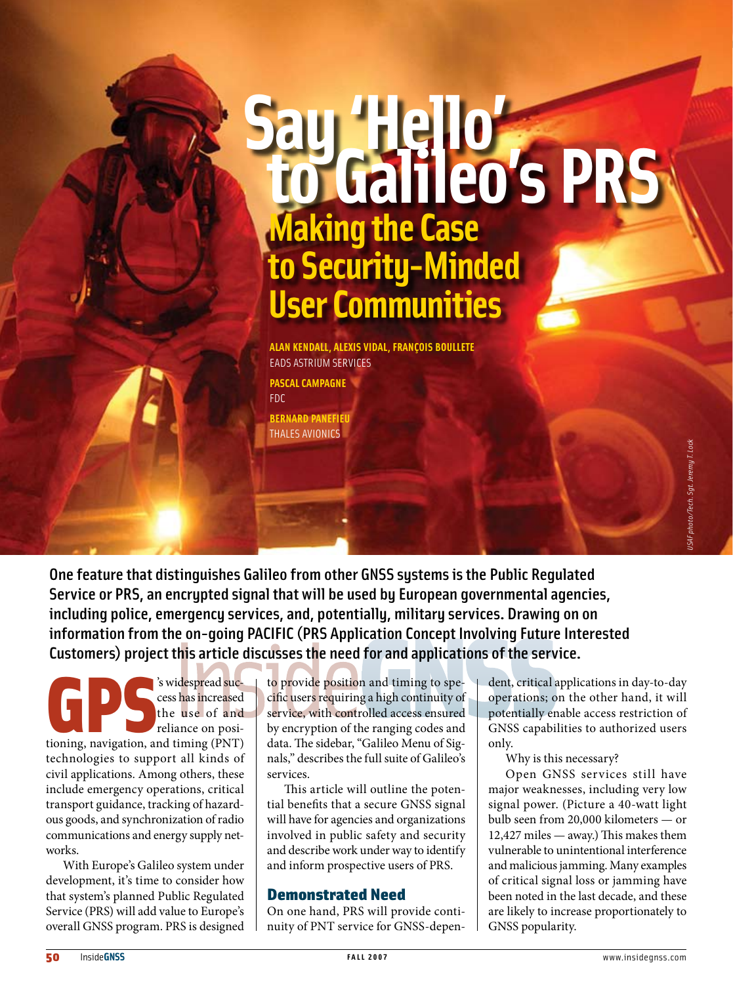# **Say 'Hello' to Galileo's PRS Making the Case to Security-Minded User Communities**

**Alan Kendall, Alexis Vidal, François Boullete** EADS Astrium Services **Pascal Campagne** FDC

**Bernard Panefieu** Thales Avionics

One feature that distinguishes Galileo from other GNSS systems is the Public Regulated Service or PRS, an encrypted signal that will be used by European governmental agencies, including police, emergency services, and, potentially, military services. Drawing on on information from the on-going PACIFIC (PRS Application Concept Involving Future Interested Customers) project this article discusses the need for and applications of the service.

Similar Success has increased the use of and reliance on positioning, navigation, and timing (PNT) cess has increased the use of and reliance on positechnologies to support all kinds of civil applications. Among others, these include emergency operations, critical transport guidance, tracking of hazardous goods, and synchronization of radio communications and energy supply networks.

With Europe's Galileo system under development, it's time to consider how that system's planned Public Regulated Service (PRS) will add value to Europe's overall GNSS program. PRS is designed

to provide position and timing to specific users requiring a high continuity of service, with controlled access ensured by encryption of the ranging codes and data. The sidebar, "Galileo Menu of Signals," describes the full suite of Galileo's services.

This article will outline the potential benefits that a secure GNSS signal will have for agencies and organizations involved in public safety and security and describe work under way to identify and inform prospective users of PRS.

# Demonstrated Need

On one hand, PRS will provide continuity of PNT service for GNSS-depen-

dent, critical applications in day-to-day operations; on the other hand, it will potentially enable access restriction of GNSS capabilities to authorized users only.

Why is this necessary?

Open GNSS services still have major weaknesses, including very low signal power. (Picture a 40-watt light bulb seen from 20,000 kilometers — or 12,427 miles — away.) This makes them vulnerable to unintentional interference and malicious jamming. Many examples of critical signal loss or jamming have been noted in the last decade, and these are likely to increase proportionately to GNSS popularity.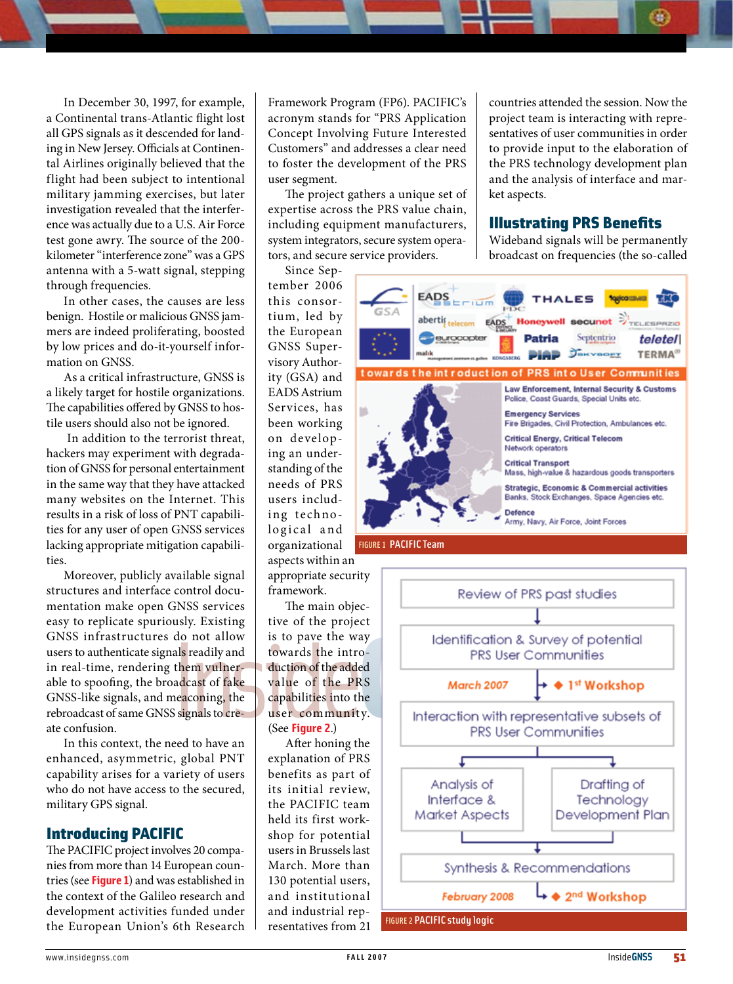In December 30, 1997, for example, a Continental trans-Atlantic flight lost all GPS signals as it descended for landing in New Jersey. Officials at Continental Airlines originally believed that the flight had been subject to intentional military jamming exercises, but later investigation revealed that the interference was actually due to a U.S. Air Force test gone awry. The source of the 200 kilometer "interference zone" was a GPS antenna with a 5-watt signal, stepping through frequencies.

In other cases, the causes are less benign. Hostile or malicious GNSS jammers are indeed proliferating, boosted by low prices and do-it-yourself information on GNSS.

As a critical infrastructure, GNSS is a likely target for hostile organizations. The capabilities offered by GNSS to hostile users should also not be ignored.

 In addition to the terrorist threat, hackers may experiment with degradation of GNSS for personal entertainment in the same way that they have attacked many websites on the Internet. This results in a risk of loss of PNT capabilities for any user of open GNSS services lacking appropriate mitigation capabilities.

Moreover, publicly available signal structures and interface control documentation make open GNSS services easy to replicate spuriously. Existing GNSS infrastructures do not allow users to authenticate signals readily and in real-time, rendering them vulnerable to spoofing, the broadcast of fake GNSS-like signals, and meaconing, the rebroadcast of same GNSS signals to create confusion.

In this context, the need to have an enhanced, asymmetric, global PNT capability arises for a variety of users who do not have access to the secured, military GPS signal.

## Introducing PACIFIC

The PACIFIC project involves 20 companies from more than 14 European countries (see **Figure 1**) and was established in the context of the Galileo research and development activities funded under the European Union's 6th Research Framework Program (FP6). PACIFIC's acronym stands for "PRS Application Concept Involving Future Interested Customers" and addresses a clear need to foster the development of the PRS user segment.

The project gathers a unique set of expertise across the PRS value chain, including equipment manufacturers, system integrators, secure system operators, and secure service providers.

Since September 2006 this consortium, led by the European GNSS Supervisory Authority (GSA) and EADS Astrium Services, has been working on developing an understanding of the needs of PRS users including technological and organizational aspects within an appropriate security framework.

The main objective of the project is to pave the way towards the introduction of the added value of the PRS capabilities into the user community. (See **Figure 2**.)

After honing the explanation of PRS benefits as part of its initial review, the PACIFIC team held its first workshop for potential users in Brussels last March. More than 130 potential users, and institutional and industrial representatives from 21

countries attended the session. Now the project team is interacting with representatives of user communities in order to provide input to the elaboration of the PRS technology development plan and the analysis of interface and market aspects.

## Illustrating PRS Benefits

Wideband signals will be permanently broadcast on frequencies (the so-called



FIGURE 1 PACIFIC Team

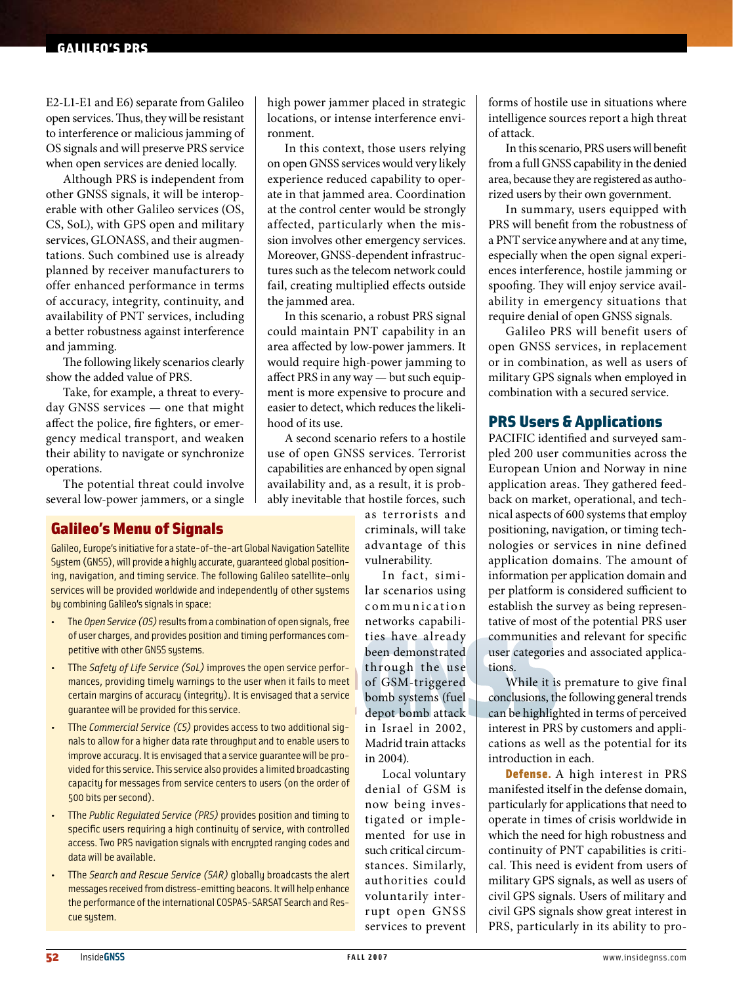#### galileo's prs

E2-L1-E1 and E6) separate from Galileo open services. Thus, they will be resistant to interference or malicious jamming of OS signals and will preserve PRS service when open services are denied locally.

Although PRS is independent from other GNSS signals, it will be interoperable with other Galileo services (OS, CS, SoL), with GPS open and military services, GLONASS, and their augmentations. Such combined use is already planned by receiver manufacturers to offer enhanced performance in terms of accuracy, integrity, continuity, and availability of PNT services, including a better robustness against interference and jamming.

The following likely scenarios clearly show the added value of PRS.

Take, for example, a threat to everyday GNSS services — one that might affect the police, fire fighters, or emergency medical transport, and weaken their ability to navigate or synchronize operations.

The potential threat could involve several low-power jammers, or a single

# Galileo's Menu of Signals

Galileo, Europe's initiative for a state-of-the-art Global Navigation Satellite System (GNSS), will provide a highly accurate, guaranteed global positioning, navigation, and timing service. The following Galileo satellite-only services will be provided worldwide and independently of other systems by combining Galileo's signals in space:

- The *Open Service (OS)* results from a combination of open signals, free of user charges, and provides position and timing performances competitive with other GNSS systems.
- TThe *Safety of Life Service (SoL)* improves the open service performances, providing timely warnings to the user when it fails to meet certain margins of accuracy (integrity). It is envisaged that a service guarantee will be provided for this service.
- The *Commercial Service (CS)* provides access to two additional signals to allow for a higher data rate throughput and to enable users to improve accuracy. It is envisaged that a service guarantee will be provided for this service. This service also provides a limited broadcasting capacity for messages from service centers to users (on the order of 500 bits per second).
- The *Public Regulated Service (PRS)* provides position and timing to specific users requiring a high continuity of service, with controlled access.Two PRS navigation signals with encrypted ranging codes and data will be available.
- TThe *Search and Rescue Service (SAR)* globally broadcasts the alert messages received from distress-emitting beacons. It will help enhance the performance of the international COSPAS-SARSAT Search and Rescue system.

high power jammer placed in strategic locations, or intense interference environment.

In this context, those users relying on open GNSS services would very likely experience reduced capability to operate in that jammed area. Coordination at the control center would be strongly affected, particularly when the mission involves other emergency services. Moreover, GNSS-dependent infrastructures such as the telecom network could fail, creating multiplied effects outside the jammed area.

In this scenario, a robust PRS signal could maintain PNT capability in an area affected by low-power jammers. It would require high-power jamming to affect PRS in any way — but such equipment is more expensive to procure and easier to detect, which reduces the likelihood of its use.

A second scenario refers to a hostile use of open GNSS services. Terrorist capabilities are enhanced by open signal availability and, as a result, it is probably inevitable that hostile forces, such

as terrorists and criminals, will take advantage of this vulnerability.

In fact, similar scenarios using communication networks capabilities have already been demonstrated through the use of GSM-triggered bomb systems (fuel depot bomb attack in Israel in 2002, Madrid train attacks in 2004).

Local voluntary denial of GSM is now being investigated or implemented for use in such critical circumstances. Similarly, authorities could voluntarily interrupt open GNSS services to prevent forms of hostile use in situations where intelligence sources report a high threat of attack.

In this scenario, PRS users will benefit from a full GNSS capability in the denied area, because they are registered as authorized users by their own government.

In summary, users equipped with PRS will benefit from the robustness of a PNT service anywhere and at any time, especially when the open signal experiences interference, hostile jamming or spoofing. They will enjoy service availability in emergency situations that require denial of open GNSS signals.

Galileo PRS will benefit users of open GNSS services, in replacement or in combination, as well as users of military GPS signals when employed in combination with a secured service.

## PRS Users & Applications

PACIFIC identified and surveyed sampled 200 user communities across the European Union and Norway in nine application areas. They gathered feedback on market, operational, and technical aspects of 600 systems that employ positioning, navigation, or timing technologies or services in nine defined application domains. The amount of information per application domain and per platform is considered sufficient to establish the survey as being representative of most of the potential PRS user communities and relevant for specific user categories and associated applications.

While it is premature to give final conclusions, the following general trends can be highlighted in terms of perceived interest in PRS by customers and applications as well as the potential for its introduction in each.

Defense. A high interest in PRS manifested itself in the defense domain, particularly for applications that need to operate in times of crisis worldwide in which the need for high robustness and continuity of PNT capabilities is critical. This need is evident from users of military GPS signals, as well as users of civil GPS signals. Users of military and civil GPS signals show great interest in PRS, particularly in its ability to pro-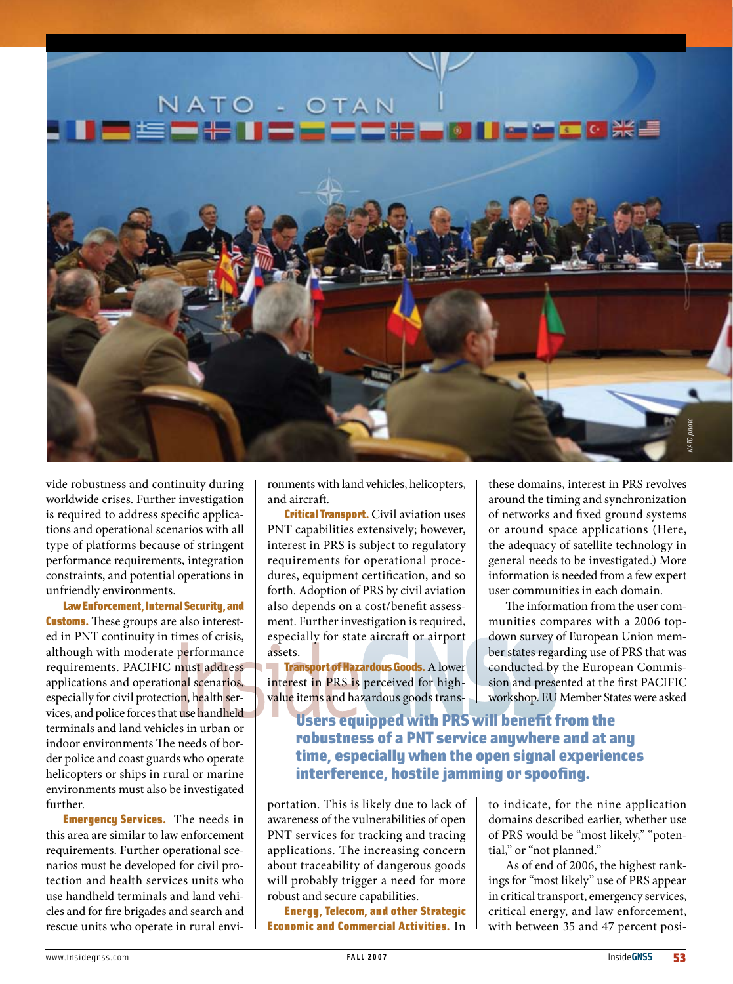

vide robustness and continuity during worldwide crises. Further investigation is required to address specific applications and operational scenarios with all type of platforms because of stringent performance requirements, integration constraints, and potential operations in unfriendly environments.

Law Enforcement, Internal Security, and **Customs.** These groups are also interested in PNT continuity in times of crisis, although with moderate performance requirements. PACIFIC must address applications and operational scenarios, especially for civil protection, health services, and police forces that use handheld terminals and land vehicles in urban or indoor environments The needs of border police and coast guards who operate helicopters or ships in rural or marine environments must also be investigated further.

**Emergency Services.** The needs in this area are similar to law enforcement requirements. Further operational scenarios must be developed for civil protection and health services units who use handheld terminals and land vehicles and for fire brigades and search and rescue units who operate in rural environments with land vehicles, helicopters, and aircraft.

**Critical Transport.** Civil aviation uses PNT capabilities extensively; however, interest in PRS is subject to regulatory requirements for operational procedures, equipment certification, and so forth. Adoption of PRS by civil aviation also depends on a cost/benefit assessment. Further investigation is required, especially for state aircraft or airport assets.

Transport of Hazardous Goods. A lower interest in PRS is perceived for highvalue items and hazardous goods transthese domains, interest in PRS revolves around the timing and synchronization of networks and fixed ground systems or around space applications (Here, the adequacy of satellite technology in general needs to be investigated.) More information is needed from a few expert user communities in each domain.

The information from the user communities compares with a 2006 topdown survey of European Union member states regarding use of PRS that was conducted by the European Commission and presented at the first PACIFIC workshop. EU Member States were asked

Users equipped with PRS will benefit from the robustness of a PNT service anywhere and at any time, especially when the open signal experiences interference, hostile jamming or spoofing.

portation. This is likely due to lack of awareness of the vulnerabilities of open PNT services for tracking and tracing applications. The increasing concern about traceability of dangerous goods will probably trigger a need for more robust and secure capabilities.

Energy, Telecom, and other Strategic Economic and Commercial Activities. In to indicate, for the nine application domains described earlier, whether use of PRS would be "most likely," "potential," or "not planned."

As of end of 2006, the highest rankings for "most likely" use of PRS appear in critical transport, emergency services, critical energy, and law enforcement, with between 35 and 47 percent posi